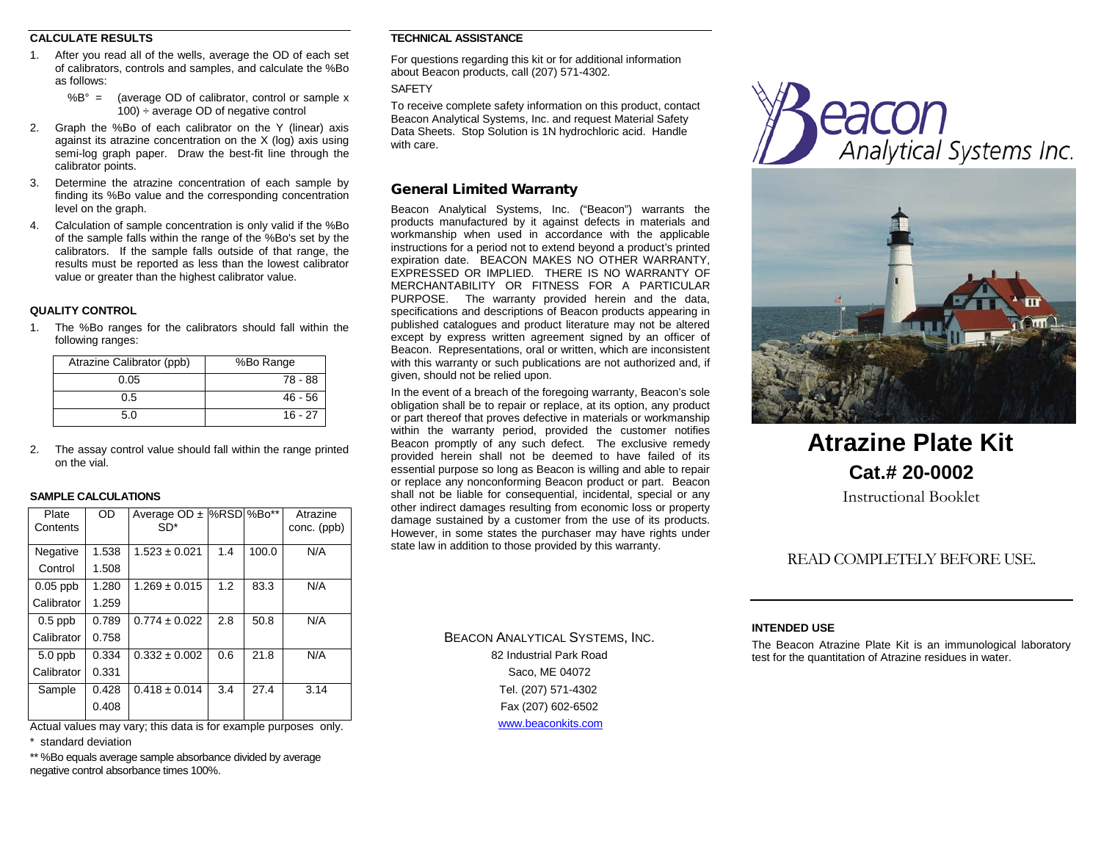## **CALCULATE RESULTS**

- 1. After you read all of the wells, average the OD of each set of calibrators, controls and samples, and calculate the %Bo as follows:
	- $%B^{\circ}$  = (average OD of calibrator, control or sample x  $100$ ) ÷ average OD of negative control
- 2. Graph the %Bo of each calibrator on the Y (linear) axis against its atrazine concentration on the  $X$  (log) axis using semi-log graph paper. Draw the best-fit line through the calibrator points.
- 3. Determine the atrazine concentration of each sample by finding its %Bo value and the corresponding concentration level on the graph.
- 4. Calculation of sample concentration is only valid if the %Bo of the sample falls within the range of the %Bo's set by the calibrators. If the sample falls outside of that range, the results must be reported as less than the lowest calibrator value or greater than the highest calibrator value.

## **QUALITY CONTROL**

1. The %Bo ranges for the calibrators should fall within the following ranges:

| Atrazine Calibrator (ppb) | %Bo Range |
|---------------------------|-----------|
| 0.05                      | 78 - 88   |
| 0.5                       | $46 - 56$ |
| 5 O                       | $16 - 27$ |

2. The assay control value should fall within the range printed on the vial.

#### **SAMPLE CALCULATIONS**

| Plate<br>Contents | <b>OD</b> | Average $OD \pm$<br>$SD*$ |     | %RSD %Bo** | Atrazine<br>conc. (ppb) |
|-------------------|-----------|---------------------------|-----|------------|-------------------------|
| Negative          | 1.538     | $1.523 \pm 0.021$         | 1.4 | 100.0      | N/A                     |
| Control           | 1.508     |                           |     |            |                         |
| $0.05$ ppb        | 1.280     | $1.269 \pm 0.015$         | 1.2 | 83.3       | N/A                     |
| Calibrator        | 1.259     |                           |     |            |                         |
| $0.5$ ppb         | 0.789     | $0.774 \pm 0.022$         | 2.8 | 50.8       | N/A                     |
| Calibrator        | 0.758     |                           |     |            |                         |
| $5.0$ ppb         | 0.334     | $0.332 \pm 0.002$         | 0.6 | 21.8       | N/A                     |
| Calibrator        | 0.331     |                           |     |            |                         |
| Sample            | 0.428     | $0.418 \pm 0.014$         | 3.4 | 27.4       | 3.14                    |
|                   | 0.408     |                           |     |            |                         |

Actual values may vary; this data is for example purposes only.

\* standard deviation

\*\* %Bo equals average sample absorbance divided by average negative control absorbance times 100%.

#### **TECHNICAL ASSISTANCE**

For questions regarding this kit or for additional information about Beacon products, call (207) 571-4302.

**SAFFTY** 

To receive complete safety information on this product, contact Beacon Analytical Systems, Inc. and request Material Safety Data Sheets. Stop Solution is 1N hydrochloric acid. Handle with care.

## General Limited Warranty

Beacon Analytical Systems, Inc. ("Beacon") warrants the products manufactured by it against defects in materials and workmanship when used in accordance with the applicable instructions for a period not to extend beyond a product's printed expiration date. BEACON MAKES NO OTHER WARRANTY, EXPRESSED OR IMPLIED. THERE IS NO WARRANTY OF MERCHANTABILITY OR FITNESS FOR A PARTICULAR PURPOSE. The warranty provided herein and the data, specifications and descriptions of Beacon products appearing in published catalogues and product literature may not be altered except by express written agreement signed by an officer of Beacon. Representations, oral or written, which are inconsistent with this warranty or such publications are not authorized and, if given, should not be relied upon.

In the event of a breach of the foregoing warranty, Beacon's sole obligation shall be to repair or replace, at its option, any product or part thereof that proves defective in materials or workmanship within the warranty period, provided the customer notifies Beacon promptly of any such defect. The exclusive remedy provided herein shall not be deemed to have failed of its essential purpose so long as Beacon is willing and able to repair or replace any nonconforming Beacon product or part. Beacon shall not be liable for consequential, incidental, special or any other indirect damages resulting from economic loss or property damage sustained by a customer from the use of its products. However, in some states the purchaser may have rights under state law in addition to those provided by this warranty.

Analytical Systems Inc.



# **Atrazine Plate Kit Cat.# 20-0002**

Instructional Booklet

## READ COMPLETELY BEFORE USE.

BEACON ANALYTICAL SYSTEMS, INC. 82 Industrial Park Road Saco, ME 04072 Tel. (207) 571-4302 Fax (207) 602-6502 [www.beaconkits.com](http://www.beaconkits.com/)

## **INTENDED USE**

The Beacon Atrazine Plate Kit is an immunological laboratory test for the quantitation of Atrazine residues in water.